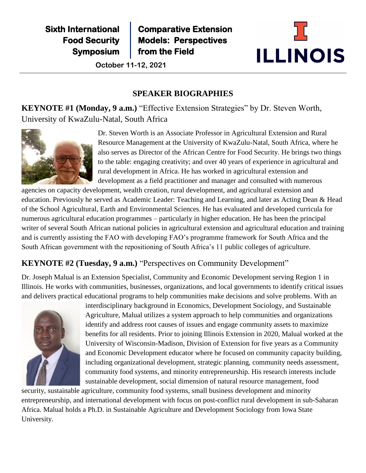**Sixth International Food Security Symposium** **Comparative Extension Models: Perspectives from the Field** 

**Institutional Capacity** for **October 11-12, 2021**



# **SPEAKER BIOGRAPHIES**

**KEYNOTE #1 (Monday, 9 a.m.)** "Effective Extension Strategies" by Dr. Steven Worth, University of KwaZulu-Natal, South Africa

**Food Security**



Dr. Steven Worth is an Associate Professor in Agricultural Extension and Rural Resource Management at the University of KwaZulu-Natal, South Africa, where he also serves as Director of the African Centre for Food Security. He brings two things to the table: engaging creativity; and over 40 years of experience in agricultural and rural development in Africa. He has worked in agricultural extension and development as a field practitioner and manager and consulted with numerous

agencies on capacity development, wealth creation, rural development, and agricultural extension and education. Previously he served as Academic Leader: Teaching and Learning, and later as Acting Dean & Head of the School Agricultural, Earth and Environmental Sciences. He has evaluated and developed curricula for numerous agricultural education programmes – particularly in higher education. He has been the principal writer of several South African national policies in agricultural extension and agricultural education and training and is currently assisting the FAO with developing FAO's programme framework for South Africa and the South African government with the repositioning of South Africa's 11 public colleges of agriculture.

# **KEYNOTE #2 (Tuesday, 9 a.m.)** "Perspectives on Community Development"

Dr. Joseph Malual is an Extension Specialist, Community and Economic Development serving Region 1 in Illinois. He works with communities, businesses, organizations, and local governments to identify critical issues and delivers practical educational programs to help communities make decisions and solve problems. With an



interdisciplinary background in Economics, Development Sociology, and Sustainable Agriculture, Malual utilizes a system approach to help communities and organizations identify and address root causes of issues and engage community assets to maximize benefits for all residents. Prior to joining Illinois Extension in 2020, Malual worked at the University of Wisconsin-Madison, Division of Extension for five years as a Community and Economic Development educator where he focused on community capacity building, including organizational development, strategic planning, community needs assessment, community food systems, and minority entrepreneurship. His research interests include sustainable development, social dimension of natural resource management, food

security, sustainable agriculture, community food systems, small business development and minority entrepreneurship, and international development with focus on post-conflict rural development in sub-Saharan Africa. Malual holds a Ph.D. in Sustainable Agriculture and Development Sociology from Iowa State University.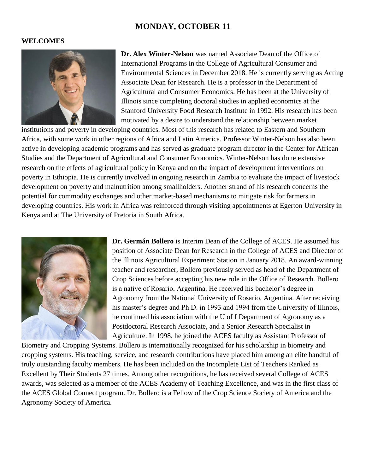# **MONDAY, OCTOBER 11**

#### **WELCOMES**



**Dr. Alex Winter-Nelson** was named Associate Dean of the Office of International Programs in the College of Agricultural Consumer and Environmental Sciences in December 2018. He is currently serving as Acting Associate Dean for Research. He is a professor in the Department of Agricultural and Consumer Economics. He has been at the University of Illinois since completing doctoral studies in applied economics at the Stanford University Food Research Institute in 1992. His research has been motivated by a desire to understand the relationship between market

institutions and poverty in developing countries. Most of this research has related to Eastern and Southern Africa, with some work in other regions of Africa and Latin America. Professor Winter-Nelson has also been active in developing academic programs and has served as graduate program director in the Center for African Studies and the Department of Agricultural and Consumer Economics. Winter-Nelson has done extensive research on the effects of agricultural policy in Kenya and on the impact of development interventions on poverty in Ethiopia. He is currently involved in ongoing research in Zambia to evaluate the impact of livestock development on poverty and malnutrition among smallholders. Another strand of his research concerns the potential for commodity exchanges and other market-based mechanisms to mitigate risk for farmers in developing countries. His work in Africa was reinforced through visiting appointments at Egerton University in Kenya and at The University of Pretoria in South Africa.



**Dr. Germán Bollero** is Interim Dean of the College of ACES. He assumed his position of Associate Dean for Research in the College of ACES and Director of the Illinois Agricultural Experiment Station in January 2018. An award-winning teacher and researcher, Bollero previously served as head of the Department of Crop Sciences before accepting his new role in the Office of Research. Bollero is a native of Rosario, Argentina. He received his bachelor's degree in Agronomy from the National University of Rosario, Argentina. After receiving his master's degree and Ph.D. in 1993 and 1994 from the University of Illinois, he continued his association with the U of I Department of Agronomy as a Postdoctoral Research Associate, and a Senior Research Specialist in Agriculture. In 1998, he joined the ACES faculty as Assistant Professor of

Biometry and Cropping Systems. Bollero is internationally recognized for his scholarship in biometry and cropping systems. His teaching, service, and research contributions have placed him among an elite handful of truly outstanding faculty members. He has been included on the Incomplete List of Teachers Ranked as Excellent by Their Students 27 times. Among other recognitions, he has received several College of ACES awards, was selected as a member of the ACES Academy of Teaching Excellence, and was in the first class of the ACES Global Connect program. Dr. Bollero is a Fellow of the Crop Science Society of America and the Agronomy Society of America.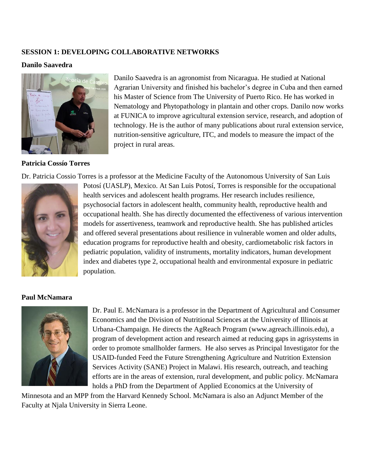#### **SESSION 1: DEVELOPING COLLABORATIVE NETWORKS**

#### **Danilo Saavedra**



#### **Patricia Cossío Torres**

Danilo Saavedra is an agronomist from Nicaragua. He studied at National Agrarian University and finished his bachelor's degree in Cuba and then earned his Master of Science from The University of Puerto Rico. He has worked in Nematology and Phytopathology in plantain and other crops. Danilo now works at FUNICA to improve agricultural extension service, research, and adoption of technology. He is the author of many publications about rural extension service, nutrition-sensitive agriculture, ITC, and models to measure the impact of the project in rural areas.

Dr. Patricia Cossio Torres is a professor at the Medicine Faculty of the Autonomous University of San Luis



Potosí (UASLP), Mexico. At San Luis Potosí, Torres is responsible for the occupational health services and adolescent health programs. Her research includes resilience, psychosocial factors in adolescent health, community health, reproductive health and occupational health. She has directly documented the effectiveness of various intervention models for assertiveness, teamwork and reproductive health. She has published articles and offered several presentations about resilience in vulnerable women and older adults, education programs for reproductive health and obesity, cardiometabolic risk factors in pediatric population, validity of instruments, mortality indicators, human development index and diabetes type 2, occupational health and environmental exposure in pediatric population.

#### **Paul McNamara**



Dr. Paul E. McNamara is a professor in the Department of Agricultural and Consumer Economics and the Division of Nutritional Sciences at the University of Illinois at Urbana-Champaign. He directs the AgReach Program [\(www.agreach.illinois.edu\)](http://www.agreach.illinois.edu/), a program of development action and research aimed at reducing gaps in agrisystems in order to promote smallholder farmers. He also serves as Principal Investigator for the USAID-funded Feed the Future Strengthening Agriculture and Nutrition Extension Services Activity (SANE) Project in Malawi. His research, outreach, and teaching efforts are in the areas of extension, rural development, and public policy. McNamara holds a PhD from the Department of Applied Economics at the University of

Minnesota and an MPP from the Harvard Kennedy School. McNamara is also an Adjunct Member of the Faculty at Njala University in Sierra Leone.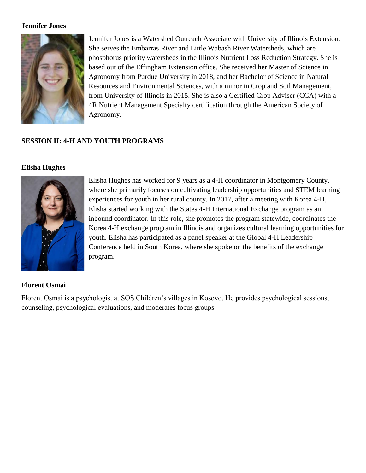#### **Jennifer Jones**



Jennifer Jones is a Watershed Outreach Associate with University of Illinois Extension. She serves the Embarras River and Little Wabash River Watersheds, which are phosphorus priority watersheds in the Illinois Nutrient Loss Reduction Strategy. She is based out of the Effingham Extension office. She received her Master of Science in Agronomy from Purdue University in 2018, and her Bachelor of Science in Natural Resources and Environmental Sciences, with a minor in Crop and Soil Management, from University of Illinois in 2015. She is also a Certified Crop Adviser (CCA) with a 4R Nutrient Management Specialty certification through the American Society of Agronomy.

# **SESSION II: 4-H AND YOUTH PROGRAMS**

# **Elisha Hughes**



Elisha Hughes has worked for 9 years as a 4-H coordinator in Montgomery County, where she primarily focuses on cultivating leadership opportunities and STEM learning experiences for youth in her rural county. In 2017, after a meeting with Korea 4-H, Elisha started working with the States 4-H International Exchange program as an inbound coordinator. In this role, she promotes the program statewide, coordinates the Korea 4-H exchange program in Illinois and organizes cultural learning opportunities for youth. Elisha has participated as a panel speaker at the Global 4-H Leadership Conference held in South Korea, where she spoke on the benefits of the exchange program.

# **Florent Osmai**

Florent Osmai is a psychologist at SOS Children's villages in Kosovo. He provides psychological sessions, counseling, psychological evaluations, and moderates focus groups.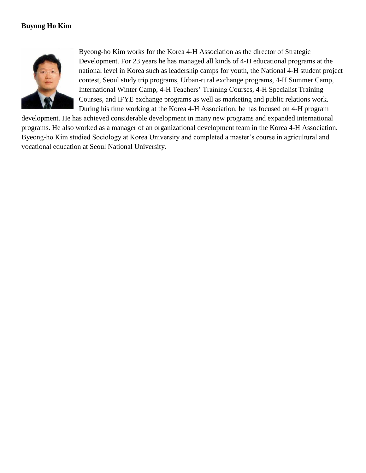# **Buyong Ho Kim**



Byeong-ho Kim works for the Korea 4-H Association as the director of Strategic Development. For 23 years he has managed all kinds of 4-H educational programs at the national level in Korea such as leadership camps for youth, the National 4-H student project contest, Seoul study trip programs, Urban-rural exchange programs, 4-H Summer Camp, International Winter Camp, 4-H Teachers' Training Courses, 4-H Specialist Training Courses, and IFYE exchange programs as well as marketing and public relations work. During his time working at the Korea 4-H Association, he has focused on 4-H program

development. He has achieved considerable development in many new programs and expanded international programs. He also worked as a manager of an organizational development team in the Korea 4-H Association. Byeong-ho Kim studied Sociology at Korea University and completed a master's course in agricultural and vocational education at Seoul National University.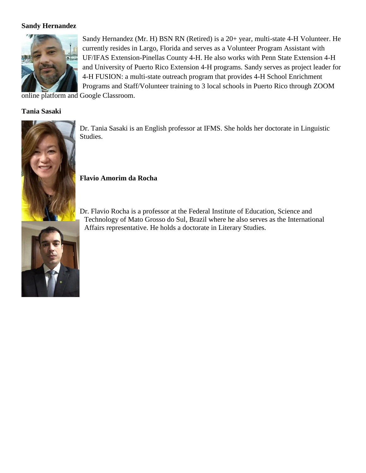# **Sandy Hernandez**



Sandy Hernandez (Mr. H) BSN RN (Retired) is a 20+ year, multi-state 4-H Volunteer. He currently resides in Largo, Florida and serves as a Volunteer Program Assistant with UF/IFAS Extension-Pinellas County 4-H. He also works with Penn State Extension 4-H and University of Puerto Rico Extension 4-H programs. Sandy serves as project leader for 4-H FUSION: a multi-state outreach program that provides 4-H School Enrichment Programs and Staff/Volunteer training to 3 local schools in Puerto Rico through ZOOM

online platform and Google Classroom.

#### **Tania Sasaki**



Dr. Tania Sasaki is an English professor at IFMS. She holds her doctorate in Linguistic Studies.

**Flavio Amorim da Rocha** 

Dr. Flavio Rocha is a professor at the Federal Institute of Education, Science and Technology of Mato Grosso do Sul, Brazil where he also serves as the International Affairs representative. He holds a doctorate in Literary Studies.

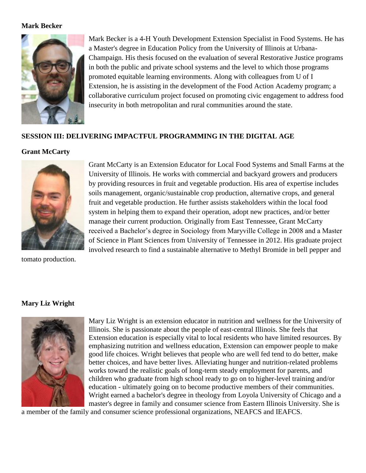#### **Mark Becker**



Mark Becker is a 4-H Youth Development Extension Specialist in Food Systems. He has a Master's degree in Education Policy from the University of Illinois at Urbana-Champaign. His thesis focused on the evaluation of several Restorative Justice programs in both the public and private school systems and the level to which those programs promoted equitable learning environments. Along with colleagues from U of I Extension, he is assisting in the development of the Food Action Academy program; a collaborative curriculum project focused on promoting civic engagement to address food insecurity in both metropolitan and rural communities around the state.

# **SESSION III: DELIVERING IMPACTFUL PROGRAMMING IN THE DIGITAL AGE**

# **Grant McCarty**



tomato production.

Grant McCarty is an Extension Educator for Local Food Systems and Small Farms at the University of Illinois. He works with commercial and backyard growers and producers by providing resources in fruit and vegetable production. His area of expertise includes soils management, organic/sustainable crop production, alternative crops, and general fruit and vegetable production. He further assists stakeholders within the local food system in helping them to expand their operation, adopt new practices, and/or better manage their current production. Originally from East Tennessee, Grant McCarty received a Bachelor's degree in Sociology from Maryville College in 2008 and a Master of Science in Plant Sciences from University of Tennessee in 2012. His graduate project involved research to find a sustainable alternative to Methyl Bromide in bell pepper and

# **Mary Liz Wright**



Mary Liz Wright is an extension educator in nutrition and wellness for the University of Illinois. She is passionate about the people of east-central Illinois. She feels that Extension education is especially vital to local residents who have limited resources. By emphasizing nutrition and wellness education, Extension can empower people to make good life choices. Wright believes that people who are well fed tend to do better, make better choices, and have better lives. Alleviating hunger and nutrition-related problems works toward the realistic goals of long-term steady employment for parents, and children who graduate from high school ready to go on to higher-level training and/or education - ultimately going on to become productive members of their communities. Wright earned a bachelor's degree in theology from Loyola University of Chicago and a master's degree in family and consumer science from Eastern Illinois University. She is

a member of the family and consumer science professional organizations, NEAFCS and IEAFCS.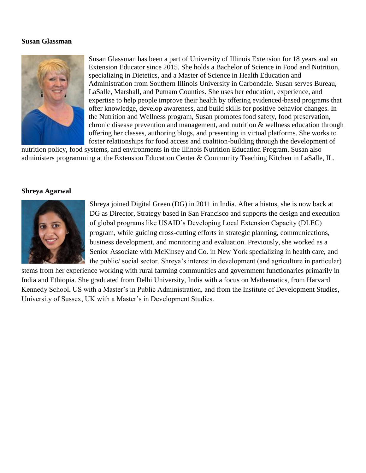#### **Susan Glassman**



Susan Glassman has been a part of University of Illinois Extension for 18 years and an Extension Educator since 2015. She holds a Bachelor of Science in Food and Nutrition, specializing in Dietetics, and a Master of Science in Health Education and Administration from Southern Illinois University in Carbondale. Susan serves Bureau, LaSalle, Marshall, and Putnam Counties. She uses her education, experience, and expertise to help people improve their health by offering evidenced-based programs that offer knowledge, develop awareness, and build skills for positive behavior changes. In the Nutrition and Wellness program, Susan promotes food safety, food preservation, chronic disease prevention and management, and nutrition & wellness education through offering her classes, authoring blogs, and presenting in virtual platforms. She works to foster relationships for food access and coalition-building through the development of

nutrition policy, food systems, and environments in the Illinois Nutrition Education Program. Susan also administers programming at the Extension Education Center & Community Teaching Kitchen in LaSalle, IL.

#### **Shreya Agarwal**



Shreya joined Digital Green (DG) in 2011 in India. After a hiatus, she is now back at DG as Director, Strategy based in San Francisco and supports the design and execution of global programs like USAID's Developing Local Extension Capacity (DLEC) program, while guiding cross-cutting efforts in strategic planning, communications, business development, and monitoring and evaluation. Previously, she worked as a Senior Associate with McKinsey and Co. in New York specializing in health care, and the public/ social sector. Shreya's interest in development (and agriculture in particular)

stems from her experience working with rural farming communities and government functionaries primarily in India and Ethiopia. She graduated from Delhi University, India with a focus on Mathematics, from Harvard Kennedy School, US with a Master's in Public Administration, and from the Institute of Development Studies, University of Sussex, UK with a Master's in Development Studies.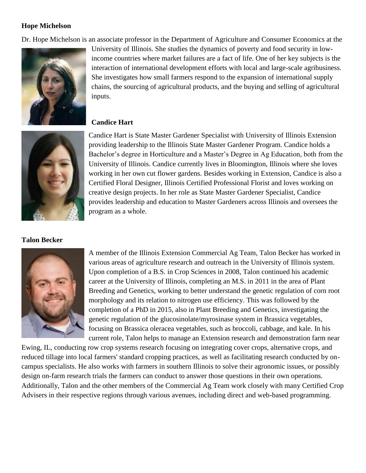# **Hope Michelson**

Dr. Hope Michelson is an associate professor in the Department of Agriculture and Consumer Economics at the



University of Illinois. She studies the dynamics of poverty and food security in lowincome countries where market failures are a fact of life. One of her key subjects is the interaction of international development efforts with local and large-scale agribusiness. She investigates how small farmers respond to the expansion of international supply chains, the sourcing of agricultural products, and the buying and selling of agricultural inputs.

# **Candice Hart**



Candice Hart is State Master Gardener Specialist with University of Illinois Extension providing leadership to the Illinois State Master Gardener Program. Candice holds a Bachelor's degree in Horticulture and a Master's Degree in Ag Education, both from the University of Illinois. Candice currently lives in Bloomington, Illinois where she loves working in her own cut flower gardens. Besides working in Extension, Candice is also a Certified Floral Designer, Illinois Certified Professional Florist and loves working on creative design projects. In her role as State Master Gardener Specialist, Candice provides leadership and education to Master Gardeners across Illinois and oversees the program as a whole.

**Talon Becker**



A member of the Illinois Extension Commercial Ag Team, Talon Becker has worked in various areas of agriculture research and outreach in the University of Illinois system. Upon completion of a B.S. in Crop Sciences in 2008, Talon continued his academic career at the University of Illinois, completing an M.S. in 2011 in the area of Plant Breeding and Genetics, working to better understand the genetic regulation of corn root morphology and its relation to nitrogen use efficiency. This was followed by the completion of a PhD in 2015, also in Plant Breeding and Genetics, investigating the genetic regulation of the glucosinolate/myrosinase system in Brassica vegetables, focusing on Brassica oleracea vegetables, such as broccoli, cabbage, and kale. In his current role, Talon helps to manage an Extension research and demonstration farm near

Ewing, IL, conducting row crop systems research focusing on integrating cover crops, alternative crops, and reduced tillage into local farmers' standard cropping practices, as well as facilitating research conducted by oncampus specialists. He also works with farmers in southern Illinois to solve their agronomic issues, or possibly design on-farm research trials the farmers can conduct to answer those questions in their own operations. Additionally, Talon and the other members of the Commercial Ag Team work closely with many Certified Crop Advisers in their respective regions through various avenues, including direct and web-based programming.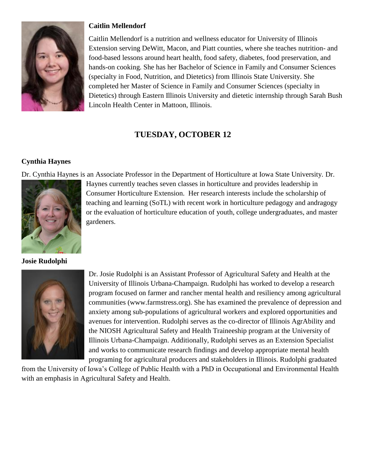

# **Caitlin Mellendorf**

Caitlin Mellendorf is a nutrition and wellness educator for University of Illinois Extension serving DeWitt, Macon, and Piatt counties, where she teaches nutrition- and food-based lessons around heart health, food safety, diabetes, food preservation, and hands-on cooking. She has her Bachelor of Science in Family and Consumer Sciences (specialty in Food, Nutrition, and Dietetics) from Illinois State University. She completed her Master of Science in Family and Consumer Sciences (specialty in Dietetics) through Eastern Illinois University and dietetic internship through Sarah Bush Lincoln Health Center in Mattoon, Illinois.

# **TUESDAY, OCTOBER 12**

# **Cynthia Haynes**

Dr. Cynthia Haynes is an Associate Professor in the Department of Horticulture at Iowa State University. Dr.



**Josie Rudolphi**

Consumer Horticulture Extension. Her research interests include the scholarship of teaching and learning (SoTL) with recent work in horticulture pedagogy and andragogy or the evaluation of horticulture education of youth, college undergraduates, and master gardeners.

Haynes currently teaches seven classes in horticulture and provides leadership in



Dr. Josie Rudolphi is an Assistant Professor of Agricultural Safety and Health at the University of Illinois Urbana-Champaign. Rudolphi has worked to develop a research program focused on farmer and rancher mental health and resiliency among agricultural communities (www.farmstress.org). She has examined the prevalence of depression and anxiety among sub-populations of agricultural workers and explored opportunities and avenues for intervention. Rudolphi serves as the co-director of Illinois AgrAbility and the NIOSH Agricultural Safety and Health Traineeship program at the University of Illinois Urbana-Champaign. Additionally, Rudolphi serves as an Extension Specialist and works to communicate research findings and develop appropriate mental health programing for agricultural producers and stakeholders in Illinois. Rudolphi graduated

from the University of Iowa's College of Public Health with a PhD in Occupational and Environmental Health with an emphasis in Agricultural Safety and Health.